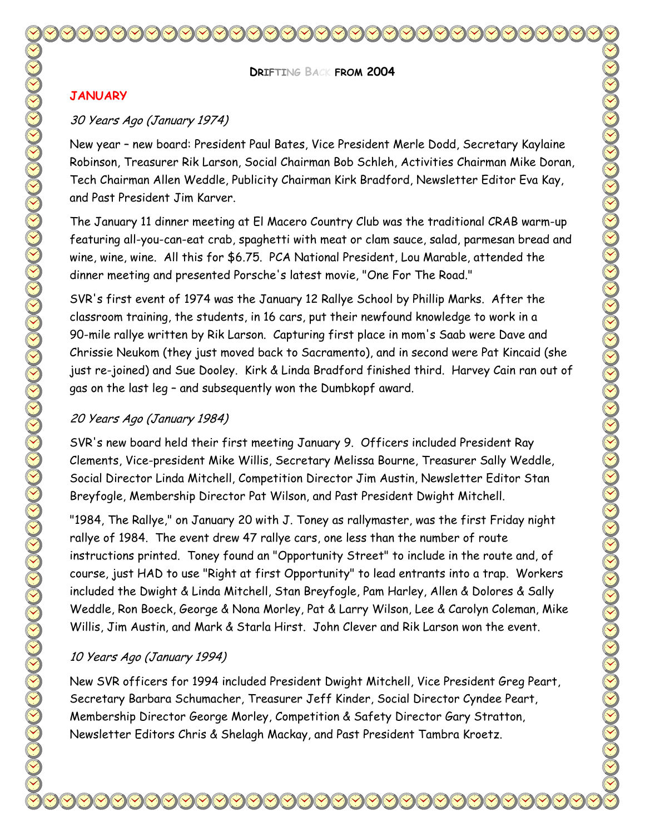**DRIFTING BACK FROM 2004** 

#### **JANUARY**

#### 30 Years Ago (January 1974)

New year – new board: President Paul Bates, Vice President Merle Dodd, Secretary Kaylaine Robinson, Treasurer Rik Larson, Social Chairman Bob Schleh, Activities Chairman Mike Doran, Tech Chairman Allen Weddle, Publicity Chairman Kirk Bradford, Newsletter Editor Eva Kay, and Past President Jim Karver.

The January 11 dinner meeting at El Macero Country Club was the traditional CRAB warm-up featuring all-you-can-eat crab, spaghetti with meat or clam sauce, salad, parmesan bread and wine, wine, wine. All this for \$6.75. PCA National President, Lou Marable, attended the dinner meeting and presented Porsche's latest movie, "One For The Road."

SVR's first event of 1974 was the January 12 Rallye School by Phillip Marks. After the classroom training, the students, in 16 cars, put their newfound knowledge to work in a 90-mile rallye written by Rik Larson. Capturing first place in mom's Saab were Dave and Chrissie Neukom (they just moved back to Sacramento), and in second were Pat Kincaid (she just re-joined) and Sue Dooley. Kirk & Linda Bradford finished third. Harvey Cain ran out of gas on the last leg – and subsequently won the Dumbkopf award.

#### 20 Years Ago (January 1984)

SVR's new board held their first meeting January 9. Officers included President Ray Clements, Vice-president Mike Willis, Secretary Melissa Bourne, Treasurer Sally Weddle, Social Director Linda Mitchell, Competition Director Jim Austin, Newsletter Editor Stan Breyfogle, Membership Director Pat Wilson, and Past President Dwight Mitchell.

"1984, The Rallye," on January 20 with J. Toney as rallymaster, was the first Friday night rallye of 1984. The event drew 47 rallye cars, one less than the number of route instructions printed. Toney found an "Opportunity Street" to include in the route and, of course, just HAD to use "Right at first Opportunity" to lead entrants into a trap. Workers included the Dwight & Linda Mitchell, Stan Breyfogle, Pam Harley, Allen & Dolores & Sally Weddle, Ron Boeck, George & Nona Morley, Pat & Larry Wilson, Lee & Carolyn Coleman, Mike Willis, Jim Austin, and Mark & Starla Hirst. John Clever and Rik Larson won the event.

#### 10 Years Ago (January 1994)

New SVR officers for 1994 included President Dwight Mitchell, Vice President Greg Peart, Secretary Barbara Schumacher, Treasurer Jeff Kinder, Social Director Cyndee Peart, Membership Director George Morley, Competition & Safety Director Gary Stratton, Newsletter Editors Chris & Shelagh Mackay, and Past President Tambra Kroetz.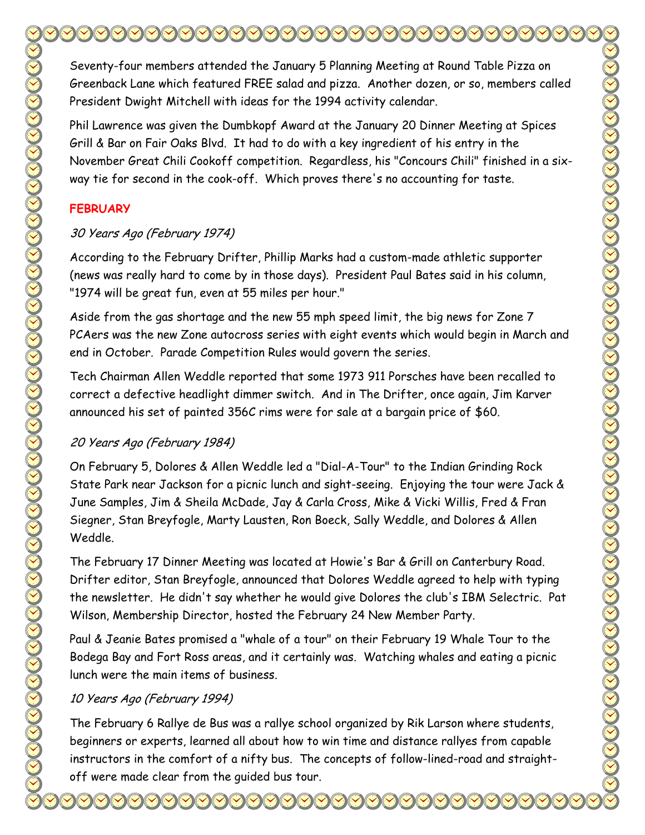Seventy-four members attended the January 5 Planning Meeting at Round Table Pizza on Greenback Lane which featured FREE salad and pizza. Another dozen, or so, members called President Dwight Mitchell with ideas for the 1994 activity calendar.

Phil Lawrence was given the Dumbkopf Award at the January 20 Dinner Meeting at Spices Grill & Bar on Fair Oaks Blvd. It had to do with a key ingredient of his entry in the November Great Chili Cookoff competition. Regardless, his "Concours Chili" finished in a sixway tie for second in the cook-off. Which proves there's no accounting for taste.

## **FEBRUARY**

# 30 Years Ago (February 1974)

According to the February Drifter, Phillip Marks had a custom-made athletic supporter (news was really hard to come by in those days). President Paul Bates said in his column, "1974 will be great fun, even at 55 miles per hour."

Aside from the gas shortage and the new 55 mph speed limit, the big news for Zone 7 PCAers was the new Zone autocross series with eight events which would begin in March and end in October. Parade Competition Rules would govern the series.

Tech Chairman Allen Weddle reported that some 1973 911 Porsches have been recalled to correct a defective headlight dimmer switch. And in The Drifter, once again, Jim Karver announced his set of painted 356C rims were for sale at a bargain price of \$60.

# 20 Years Ago (February 1984)

On February 5, Dolores & Allen Weddle led a "Dial-A-Tour" to the Indian Grinding Rock State Park near Jackson for a picnic lunch and sight-seeing. Enjoying the tour were Jack & June Samples, Jim & Sheila McDade, Jay & Carla Cross, Mike & Vicki Willis, Fred & Fran Siegner, Stan Breyfogle, Marty Lausten, Ron Boeck, Sally Weddle, and Dolores & Allen Weddle.

The February 17 Dinner Meeting was located at Howie's Bar & Grill on Canterbury Road. Drifter editor, Stan Breyfogle, announced that Dolores Weddle agreed to help with typing the newsletter. He didn't say whether he would give Dolores the club's IBM Selectric. Pat Wilson, Membership Director, hosted the February 24 New Member Party.

Paul & Jeanie Bates promised a "whale of a tour" on their February 19 Whale Tour to the Bodega Bay and Fort Ross areas, and it certainly was. Watching whales and eating a picnic lunch were the main items of business.

# 10 Years Ago (February 1994)

The February 6 Rallye de Bus was a rallye school organized by Rik Larson where students, beginners or experts, learned all about how to win time and distance rallyes from capable instructors in the comfort of a nifty bus. The concepts of follow-lined-road and straightoff were made clear from the guided bus tour.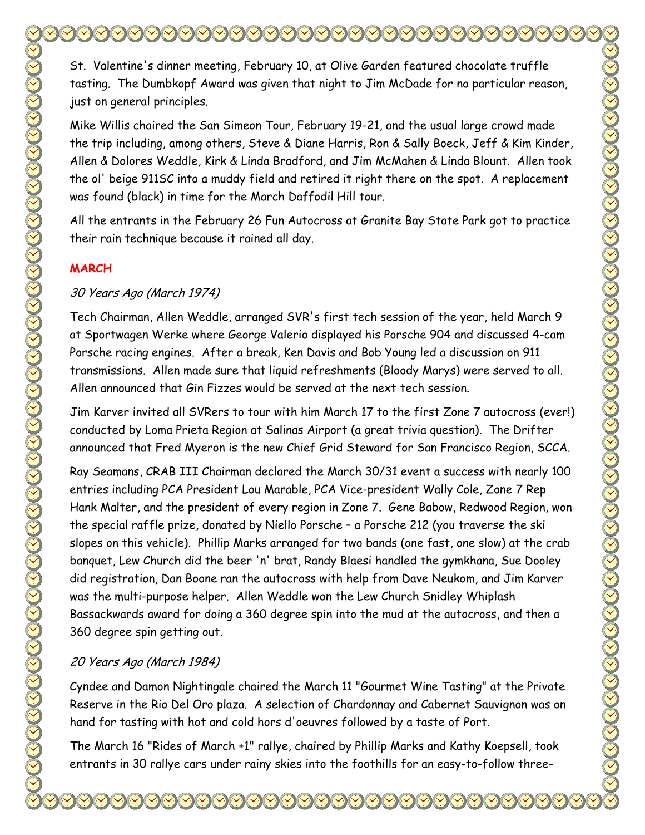St. Valentine's dinner meeting, February 10, at Olive Garden featured chocolate truffle tasting. The Dumbkopf Award was given that night to Jim McDade for no particular reason, just on general principles.

Mike Willis chaired the San Simeon Tour, February 19-21, and the usual large crowd made the trip including, among others, Steve & Diane Harris, Ron & Sally Boeck, Jeff & Kim Kinder, Allen & Dolores Weddle, Kirk & Linda Bradford, and Jim McMahen & Linda Blount. Allen took the ol' beige 911SC into a muddy field and retired it right there on the spot. A replacement was found (black) in time for the March Daffodil Hill tour.

All the entrants in the February 26 Fun Autocross at Granite Bay State Park got to practice their rain technique because it rained all day.

#### **MARCH**

#### 30 Years Ago (March 1974)

Tech Chairman, Allen Weddle, arranged SVR's first tech session of the year, held March 9 at Sportwagen Werke where George Valerio displayed his Porsche 904 and discussed 4-cam Porsche racing engines. After a break, Ken Davis and Bob Young led a discussion on 911 transmissions. Allen made sure that liquid refreshments (Bloody Marys) were served to all. Allen announced that Gin Fizzes would be served at the next tech session.

Jim Karver invited all SVRers to tour with him March 17 to the first Zone 7 autocross (ever!) conducted by Loma Prieta Region at Salinas Airport (a great trivia question). The Drifter announced that Fred Myeron is the new Chief Grid Steward for San Francisco Region, SCCA.

Ray Seamans, CRAB III Chairman declared the March 30/31 event a success with nearly 100 entries including PCA President Lou Marable, PCA Vice-president Wally Cole, Zone 7 Rep Hank Malter, and the president of every region in Zone 7. Gene Babow, Redwood Region, won the special raffle prize, donated by Niello Porsche – a Porsche 212 (you traverse the ski slopes on this vehicle). Phillip Marks arranged for two bands (one fast, one slow) at the crab banquet, Lew Church did the beer 'n' brat, Randy Blaesi handled the gymkhana, Sue Dooley did registration, Dan Boone ran the autocross with help from Dave Neukom, and Jim Karver was the multi-purpose helper. Allen Weddle won the Lew Church Snidley Whiplash Bassackwards award for doing a 360 degree spin into the mud at the autocross, and then a 360 degree spin getting out.

### 20 Years Ago (March 1984)

Cyndee and Damon Nightingale chaired the March 11 "Gourmet Wine Tasting" at the Private Reserve in the Rio Del Oro plaza. A selection of Chardonnay and Cabernet Sauvignon was on hand for tasting with hot and cold hors d'oeuvres followed by a taste of Port.

The March 16 "Rides of March +1" rallye, chaired by Phillip Marks and Kathy Koepsell, took entrants in 30 rallye cars under rainy skies into the foothills for an easy-to-follow three-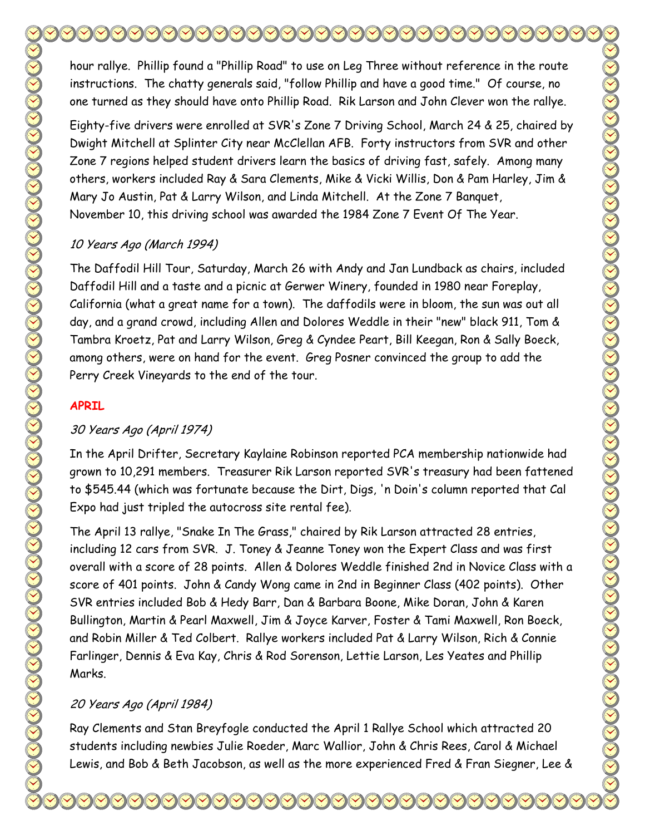hour rallye. Phillip found a "Phillip Road" to use on Leg Three without reference in the route instructions. The chatty generals said, "follow Phillip and have a good time." Of course, no one turned as they should have onto Phillip Road. Rik Larson and John Clever won the rallye.

Eighty-five drivers were enrolled at SVR's Zone 7 Driving School, March 24 & 25, chaired by Dwight Mitchell at Splinter City near McClellan AFB. Forty instructors from SVR and other Zone 7 regions helped student drivers learn the basics of driving fast, safely. Among many others, workers included Ray & Sara Clements, Mike & Vicki Willis, Don & Pam Harley, Jim & Mary Jo Austin, Pat & Larry Wilson, and Linda Mitchell. At the Zone 7 Banquet, November 10, this driving school was awarded the 1984 Zone 7 Event Of The Year.

# 10 Years Ago (March 1994)

The Daffodil Hill Tour, Saturday, March 26 with Andy and Jan Lundback as chairs, included Daffodil Hill and a taste and a picnic at Gerwer Winery, founded in 1980 near Foreplay, California (what a great name for a town). The daffodils were in bloom, the sun was out all day, and a grand crowd, including Allen and Dolores Weddle in their "new" black 911, Tom & Tambra Kroetz, Pat and Larry Wilson, Greg & Cyndee Peart, Bill Keegan, Ron & Sally Boeck, among others, were on hand for the event. Greg Posner convinced the group to add the Perry Creek Vineyards to the end of the tour.

# **APRIL**

# 30 Years Ago (April 1974)

In the April Drifter, Secretary Kaylaine Robinson reported PCA membership nationwide had grown to 10,291 members. Treasurer Rik Larson reported SVR's treasury had been fattened to \$545.44 (which was fortunate because the Dirt, Digs, 'n Doin's column reported that Cal Expo had just tripled the autocross site rental fee).

The April 13 rallye, "Snake In The Grass," chaired by Rik Larson attracted 28 entries, including 12 cars from SVR. J. Toney & Jeanne Toney won the Expert Class and was first overall with a score of 28 points. Allen & Dolores Weddle finished 2nd in Novice Class with a score of 401 points. John & Candy Wong came in 2nd in Beginner Class (402 points). Other SVR entries included Bob & Hedy Barr, Dan & Barbara Boone, Mike Doran, John & Karen Bullington, Martin & Pearl Maxwell, Jim & Joyce Karver, Foster & Tami Maxwell, Ron Boeck, and Robin Miller & Ted Colbert. Rallye workers included Pat & Larry Wilson, Rich & Connie Farlinger, Dennis & Eva Kay, Chris & Rod Sorenson, Lettie Larson, Les Yeates and Phillip Marks.

# 20 Years Ago (April 1984)

Ray Clements and Stan Breyfogle conducted the April 1 Rallye School which attracted 20 students including newbies Julie Roeder, Marc Wallior, John & Chris Rees, Carol & Michael Lewis, and Bob & Beth Jacobson, as well as the more experienced Fred & Fran Siegner, Lee &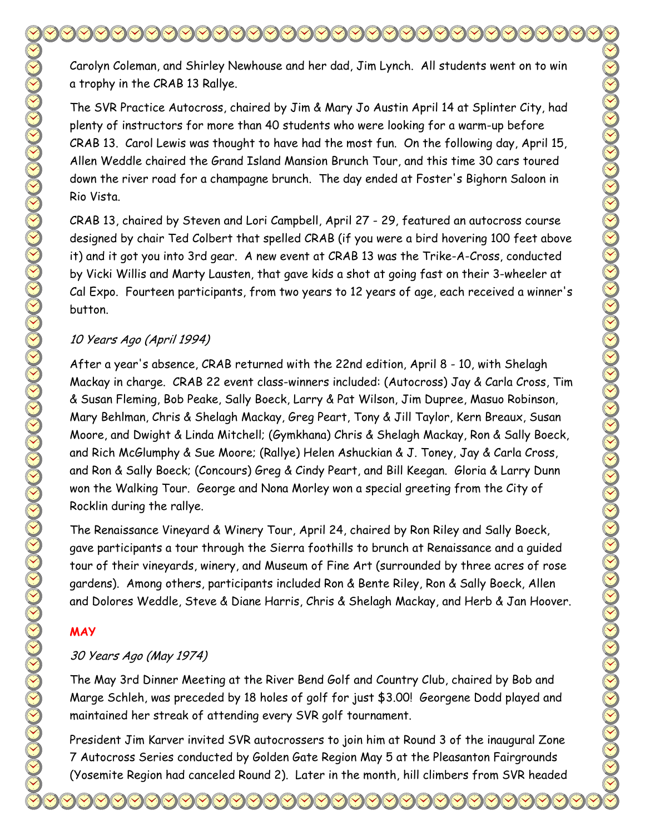Carolyn Coleman, and Shirley Newhouse and her dad, Jim Lynch. All students went on to win a trophy in the CRAB 13 Rallye.

The SVR Practice Autocross, chaired by Jim & Mary Jo Austin April 14 at Splinter City, had plenty of instructors for more than 40 students who were looking for a warm-up before CRAB 13. Carol Lewis was thought to have had the most fun. On the following day, April 15, Allen Weddle chaired the Grand Island Mansion Brunch Tour, and this time 30 cars toured down the river road for a champagne brunch. The day ended at Foster's Bighorn Saloon in Rio Vista.

CRAB 13, chaired by Steven and Lori Campbell, April 27 - 29, featured an autocross course designed by chair Ted Colbert that spelled CRAB (if you were a bird hovering 100 feet above it) and it got you into 3rd gear. A new event at CRAB 13 was the Trike-A-Cross, conducted by Vicki Willis and Marty Lausten, that gave kids a shot at going fast on their 3-wheeler at Cal Expo. Fourteen participants, from two years to 12 years of age, each received a winner's button.

#### 10 Years Ago (April 1994)

After a year's absence, CRAB returned with the 22nd edition, April 8 - 10, with Shelagh Mackay in charge. CRAB 22 event class-winners included: (Autocross) Jay & Carla Cross, Tim & Susan Fleming, Bob Peake, Sally Boeck, Larry & Pat Wilson, Jim Dupree, Masuo Robinson, Mary Behlman, Chris & Shelagh Mackay, Greg Peart, Tony & Jill Taylor, Kern Breaux, Susan Moore, and Dwight & Linda Mitchell; (Gymkhana) Chris & Shelagh Mackay, Ron & Sally Boeck, and Rich McGlumphy & Sue Moore; (Rallye) Helen Ashuckian & J. Toney, Jay & Carla Cross, and Ron & Sally Boeck; (Concours) Greg & Cindy Peart, and Bill Keegan. Gloria & Larry Dunn won the Walking Tour. George and Nona Morley won a special greeting from the City of Rocklin during the rallye.

The Renaissance Vineyard & Winery Tour, April 24, chaired by Ron Riley and Sally Boeck, gave participants a tour through the Sierra foothills to brunch at Renaissance and a guided tour of their vineyards, winery, and Museum of Fine Art (surrounded by three acres of rose gardens). Among others, participants included Ron & Bente Riley, Ron & Sally Boeck, Allen and Dolores Weddle, Steve & Diane Harris, Chris & Shelagh Mackay, and Herb & Jan Hoover.

### **MAY**

### 30 Years Ago (May 1974)

The May 3rd Dinner Meeting at the River Bend Golf and Country Club, chaired by Bob and Marge Schleh, was preceded by 18 holes of golf for just \$3.00! Georgene Dodd played and maintained her streak of attending every SVR golf tournament.

President Jim Karver invited SVR autocrossers to join him at Round 3 of the inaugural Zone 7 Autocross Series conducted by Golden Gate Region May 5 at the Pleasanton Fairgrounds (Yosemite Region had canceled Round 2). Later in the month, hill climbers from SVR headed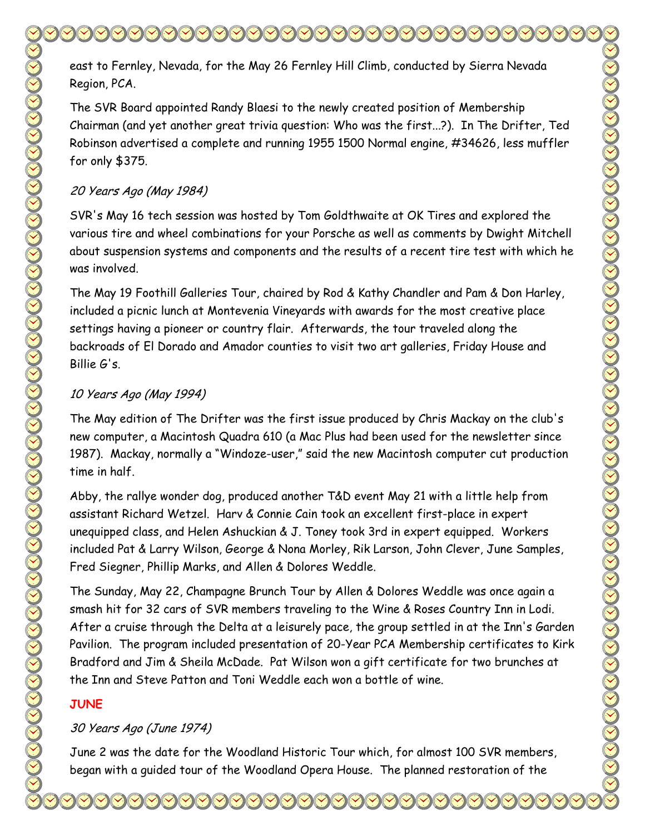east to Fernley, Nevada, for the May 26 Fernley Hill Climb, conducted by Sierra Nevada Region, PCA.

The SVR Board appointed Randy Blaesi to the newly created position of Membership Chairman (and yet another great trivia question: Who was the first...?). In The Drifter, Ted Robinson advertised a complete and running 1955 1500 Normal engine, #34626, less muffler for only \$375.

### 20 Years Ago (May 1984)

SVR's May 16 tech session was hosted by Tom Goldthwaite at OK Tires and explored the various tire and wheel combinations for your Porsche as well as comments by Dwight Mitchell about suspension systems and components and the results of a recent tire test with which he was involved.

The May 19 Foothill Galleries Tour, chaired by Rod & Kathy Chandler and Pam & Don Harley, included a picnic lunch at Montevenia Vineyards with awards for the most creative place settings having a pioneer or country flair. Afterwards, the tour traveled along the backroads of El Dorado and Amador counties to visit two art galleries, Friday House and Billie G's.

## 10 Years Ago (May 1994)

The May edition of The Drifter was the first issue produced by Chris Mackay on the club's new computer, a Macintosh Quadra 610 (a Mac Plus had been used for the newsletter since 1987). Mackay, normally a "Windoze-user," said the new Macintosh computer cut production time in half.

Abby, the rallye wonder dog, produced another T&D event May 21 with a little help from assistant Richard Wetzel. Harv & Connie Cain took an excellent first-place in expert unequipped class, and Helen Ashuckian & J. Toney took 3rd in expert equipped. Workers included Pat & Larry Wilson, George & Nona Morley, Rik Larson, John Clever, June Samples, Fred Siegner, Phillip Marks, and Allen & Dolores Weddle.

The Sunday, May 22, Champagne Brunch Tour by Allen & Dolores Weddle was once again a smash hit for 32 cars of SVR members traveling to the Wine & Roses Country Inn in Lodi. After a cruise through the Delta at a leisurely pace, the group settled in at the Inn's Garden Pavilion. The program included presentation of 20-Year PCA Membership certificates to Kirk Bradford and Jim & Sheila McDade. Pat Wilson won a gift certificate for two brunches at the Inn and Steve Patton and Toni Weddle each won a bottle of wine.

## **JUNE**

## 30 Years Ago (June 1974)

June 2 was the date for the Woodland Historic Tour which, for almost 100 SVR members, began with a guided tour of the Woodland Opera House. The planned restoration of the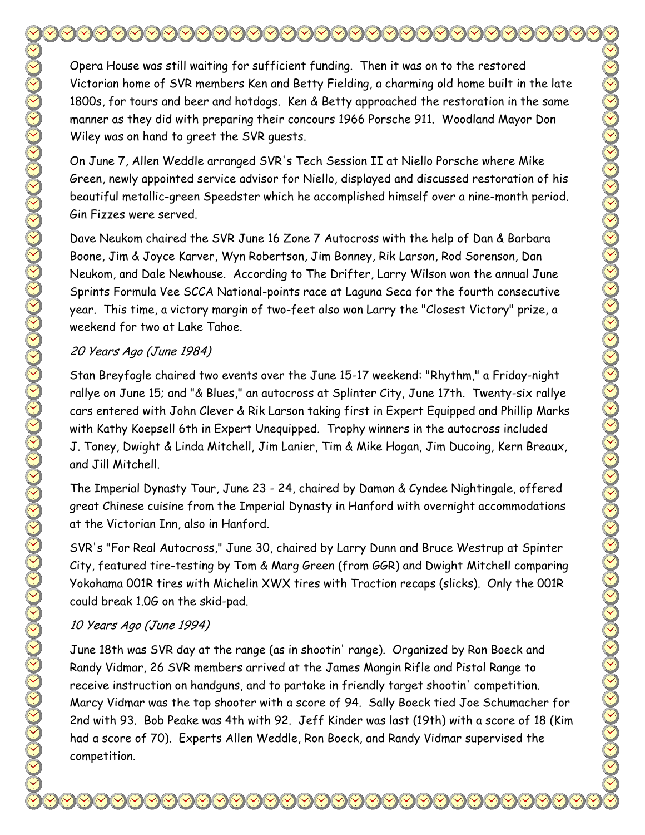Opera House was still waiting for sufficient funding. Then it was on to the restored Victorian home of SVR members Ken and Betty Fielding, a charming old home built in the late 1800s, for tours and beer and hotdogs. Ken & Betty approached the restoration in the same manner as they did with preparing their concours 1966 Porsche 911. Woodland Mayor Don Wiley was on hand to greet the SVR guests.

On June 7, Allen Weddle arranged SVR's Tech Session II at Niello Porsche where Mike Green, newly appointed service advisor for Niello, displayed and discussed restoration of his beautiful metallic-green Speedster which he accomplished himself over a nine-month period. Gin Fizzes were served.

Dave Neukom chaired the SVR June 16 Zone 7 Autocross with the help of Dan & Barbara Boone, Jim & Joyce Karver, Wyn Robertson, Jim Bonney, Rik Larson, Rod Sorenson, Dan Neukom, and Dale Newhouse. According to The Drifter, Larry Wilson won the annual June Sprints Formula Vee SCCA National-points race at Laguna Seca for the fourth consecutive year. This time, a victory margin of two-feet also won Larry the "Closest Victory" prize, a weekend for two at Lake Tahoe.

#### 20 Years Ago (June 1984)

Stan Breyfogle chaired two events over the June 15-17 weekend: "Rhythm," a Friday-night rallye on June 15; and "& Blues," an autocross at Splinter City, June 17th. Twenty-six rallye cars entered with John Clever & Rik Larson taking first in Expert Equipped and Phillip Marks with Kathy Koepsell 6th in Expert Unequipped. Trophy winners in the autocross included J. Toney, Dwight & Linda Mitchell, Jim Lanier, Tim & Mike Hogan, Jim Ducoing, Kern Breaux, and Jill Mitchell.

The Imperial Dynasty Tour, June 23 - 24, chaired by Damon & Cyndee Nightingale, offered great Chinese cuisine from the Imperial Dynasty in Hanford with overnight accommodations at the Victorian Inn, also in Hanford.

SVR's "For Real Autocross," June 30, chaired by Larry Dunn and Bruce Westrup at Spinter City, featured tire-testing by Tom & Marg Green (from GGR) and Dwight Mitchell comparing Yokohama 001R tires with Michelin XWX tires with Traction recaps (slicks). Only the 001R could break 1.0G on the skid-pad.

### 10 Years Ago (June 1994)

June 18th was SVR day at the range (as in shootin' range). Organized by Ron Boeck and Randy Vidmar, 26 SVR members arrived at the James Mangin Rifle and Pistol Range to receive instruction on handguns, and to partake in friendly target shootin' competition. Marcy Vidmar was the top shooter with a score of 94. Sally Boeck tied Joe Schumacher for 2nd with 93. Bob Peake was 4th with 92. Jeff Kinder was last (19th) with a score of 18 (Kim had a score of 70). Experts Allen Weddle, Ron Boeck, and Randy Vidmar supervised the competition.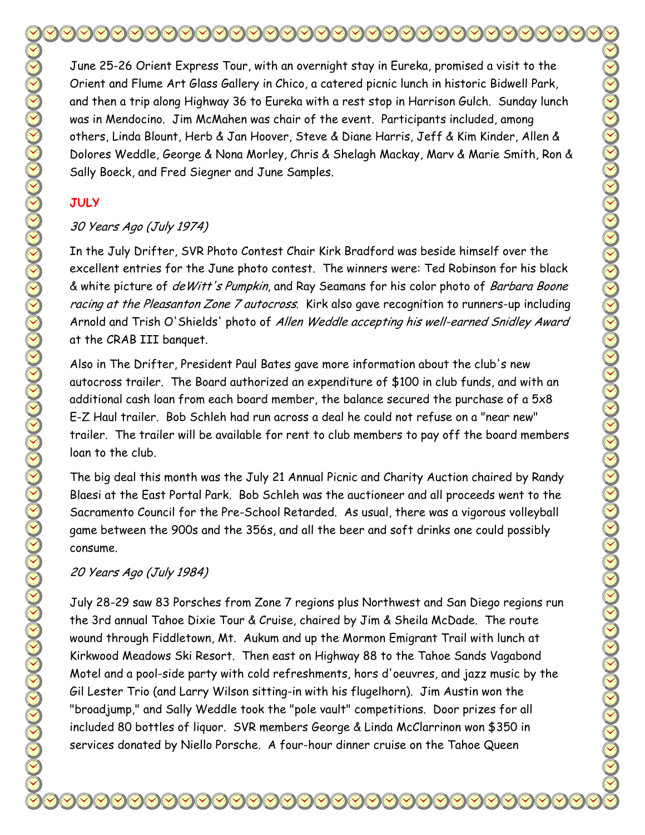June 25-26 Orient Express Tour, with an overnight stay in Eureka, promised a visit to the Orient and Flume Art Glass Gallery in Chico, a catered picnic lunch in historic Bidwell Park, and then a trip along Highway 36 to Eureka with a rest stop in Harrison Gulch. Sunday lunch was in Mendocino. Jim McMahen was chair of the event. Participants included, among others, Linda Blount, Herb & Jan Hoover, Steve & Diane Harris, Jeff & Kim Kinder, Allen & Dolores Weddle, George & Nona Morley, Chris & Shelagh Mackay, Marv & Marie Smith, Ron & Sally Boeck, and Fred Siegner and June Samples.

### **JULY**

## 30 Years Ago (July 1974)

In the July Drifter, SVR Photo Contest Chair Kirk Bradford was beside himself over the excellent entries for the June photo contest. The winners were: Ted Robinson for his black & white picture of de Witt's Pumpkin, and Ray Seamans for his color photo of Barbara Boone racing at the Pleasanton Zone 7 autocross. Kirk also gave recognition to runners-up including Arnold and Trish O'Shields' photo of Allen Weddle accepting his well-earned Snidley Award at the CRAB III banquet.

Also in The Drifter, President Paul Bates gave more information about the club's new autocross trailer. The Board authorized an expenditure of \$100 in club funds, and with an additional cash loan from each board member, the balance secured the purchase of a 5x8 E-Z Haul trailer. Bob Schleh had run across a deal he could not refuse on a "near new" trailer. The trailer will be available for rent to club members to pay off the board members loan to the club.

The big deal this month was the July 21 Annual Picnic and Charity Auction chaired by Randy Blaesi at the East Portal Park. Bob Schleh was the auctioneer and all proceeds went to the Sacramento Council for the Pre-School Retarded. As usual, there was a vigorous volleyball game between the 900s and the 356s, and all the beer and soft drinks one could possibly consume.

## 20 Years Ago (July 1984)

July 28-29 saw 83 Porsches from Zone 7 regions plus Northwest and San Diego regions run the 3rd annual Tahoe Dixie Tour & Cruise, chaired by Jim & Sheila McDade. The route wound through Fiddletown, Mt. Aukum and up the Mormon Emigrant Trail with lunch at Kirkwood Meadows Ski Resort. Then east on Highway 88 to the Tahoe Sands Vagabond Motel and a pool-side party with cold refreshments, hors d'oeuvres, and jazz music by the Gil Lester Trio (and Larry Wilson sitting-in with his flugelhorn). Jim Austin won the "broadjump," and Sally Weddle took the "pole vault" competitions. Door prizes for all included 80 bottles of liquor. SVR members George & Linda McClarrinon won \$350 in services donated by Niello Porsche. A four-hour dinner cruise on the Tahoe Queen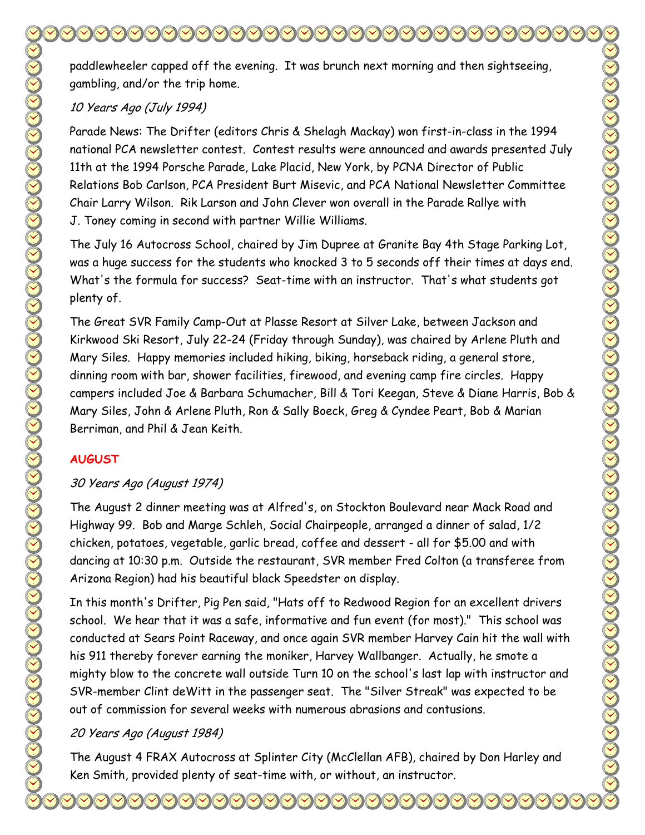paddlewheeler capped off the evening. It was brunch next morning and then sightseeing, gambling, and/or the trip home.

### 10 Years Ago (July 1994)

Parade News: The Drifter (editors Chris & Shelagh Mackay) won first-in-class in the 1994 national PCA newsletter contest. Contest results were announced and awards presented July 11th at the 1994 Porsche Parade, Lake Placid, New York, by PCNA Director of Public Relations Bob Carlson, PCA President Burt Misevic, and PCA National Newsletter Committee Chair Larry Wilson. Rik Larson and John Clever won overall in the Parade Rallye with J. Toney coming in second with partner Willie Williams.

The July 16 Autocross School, chaired by Jim Dupree at Granite Bay 4th Stage Parking Lot, was a huge success for the students who knocked 3 to 5 seconds off their times at days end. What's the formula for success? Seat-time with an instructor. That's what students got plenty of.

The Great SVR Family Camp-Out at Plasse Resort at Silver Lake, between Jackson and Kirkwood Ski Resort, July 22-24 (Friday through Sunday), was chaired by Arlene Pluth and Mary Siles. Happy memories included hiking, biking, horseback riding, a general store, dinning room with bar, shower facilities, firewood, and evening camp fire circles. Happy campers included Joe & Barbara Schumacher, Bill & Tori Keegan, Steve & Diane Harris, Bob & Mary Siles, John & Arlene Pluth, Ron & Sally Boeck, Greg & Cyndee Peart, Bob & Marian Berriman, and Phil & Jean Keith.

## **AUGUST**

### 30 Years Ago (August 1974)

The August 2 dinner meeting was at Alfred's, on Stockton Boulevard near Mack Road and Highway 99. Bob and Marge Schleh, Social Chairpeople, arranged a dinner of salad, 1/2 chicken, potatoes, vegetable, garlic bread, coffee and dessert - all for \$5.00 and with dancing at 10:30 p.m. Outside the restaurant, SVR member Fred Colton (a transferee from Arizona Region) had his beautiful black Speedster on display.

In this month's Drifter, Pig Pen said, "Hats off to Redwood Region for an excellent drivers school. We hear that it was a safe, informative and fun event (for most)." This school was conducted at Sears Point Raceway, and once again SVR member Harvey Cain hit the wall with his 911 thereby forever earning the moniker, Harvey Wallbanger. Actually, he smote a mighty blow to the concrete wall outside Turn 10 on the school's last lap with instructor and SVR-member Clint deWitt in the passenger seat. The "Silver Streak" was expected to be out of commission for several weeks with numerous abrasions and contusions.

## 20 Years Ago (August 1984)

The August 4 FRAX Autocross at Splinter City (McClellan AFB), chaired by Don Harley and Ken Smith, provided plenty of seat-time with, or without, an instructor.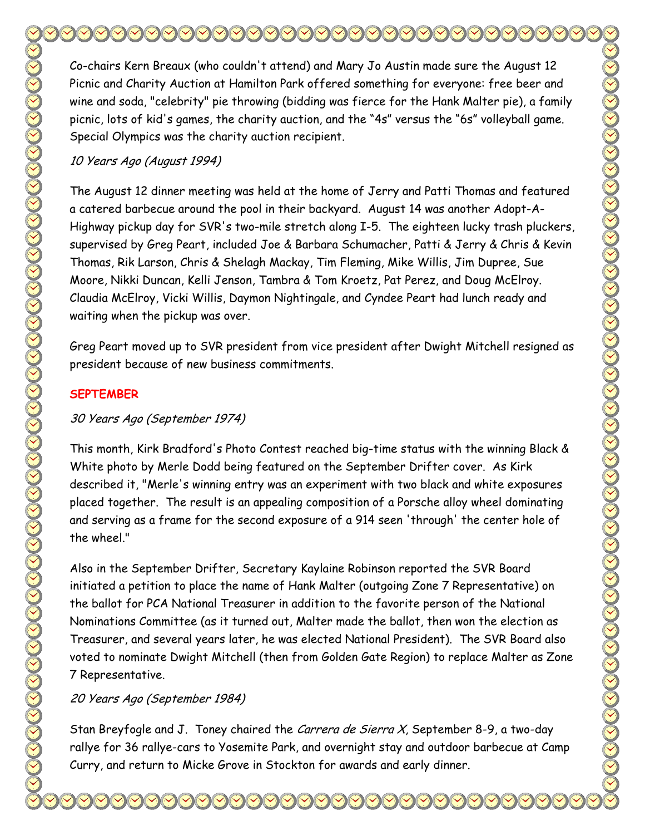Co-chairs Kern Breaux (who couldn't attend) and Mary Jo Austin made sure the August 12 Picnic and Charity Auction at Hamilton Park offered something for everyone: free beer and wine and soda, "celebrity" pie throwing (bidding was fierce for the Hank Malter pie), a family picnic, lots of kid's games, the charity auction, and the "4s" versus the "6s" volleyball game. Special Olympics was the charity auction recipient.

#### 10 Years Ago (August 1994)

The August 12 dinner meeting was held at the home of Jerry and Patti Thomas and featured a catered barbecue around the pool in their backyard. August 14 was another Adopt-A-Highway pickup day for SVR's two-mile stretch along I-5. The eighteen lucky trash pluckers, supervised by Greg Peart, included Joe & Barbara Schumacher, Patti & Jerry & Chris & Kevin Thomas, Rik Larson, Chris & Shelagh Mackay, Tim Fleming, Mike Willis, Jim Dupree, Sue Moore, Nikki Duncan, Kelli Jenson, Tambra & Tom Kroetz, Pat Perez, and Doug McElroy. Claudia McElroy, Vicki Willis, Daymon Nightingale, and Cyndee Peart had lunch ready and waiting when the pickup was over.

Greg Peart moved up to SVR president from vice president after Dwight Mitchell resigned as president because of new business commitments.

#### **SEPTEMBER**

#### 30 Years Ago (September 1974)

This month, Kirk Bradford's Photo Contest reached big-time status with the winning Black & White photo by Merle Dodd being featured on the September Drifter cover. As Kirk described it, "Merle's winning entry was an experiment with two black and white exposures placed together. The result is an appealing composition of a Porsche alloy wheel dominating and serving as a frame for the second exposure of a 914 seen 'through' the center hole of the wheel."

Also in the September Drifter, Secretary Kaylaine Robinson reported the SVR Board initiated a petition to place the name of Hank Malter (outgoing Zone 7 Representative) on the ballot for PCA National Treasurer in addition to the favorite person of the National Nominations Committee (as it turned out, Malter made the ballot, then won the election as Treasurer, and several years later, he was elected National President). The SVR Board also voted to nominate Dwight Mitchell (then from Golden Gate Region) to replace Malter as Zone 7 Representative.

#### 20 Years Ago (September 1984)

Stan Breyfogle and J. Toney chaired the Carrera de Sierra X, September 8-9, a two-day rallye for 36 rallye-cars to Yosemite Park, and overnight stay and outdoor barbecue at Camp Curry, and return to Micke Grove in Stockton for awards and early dinner.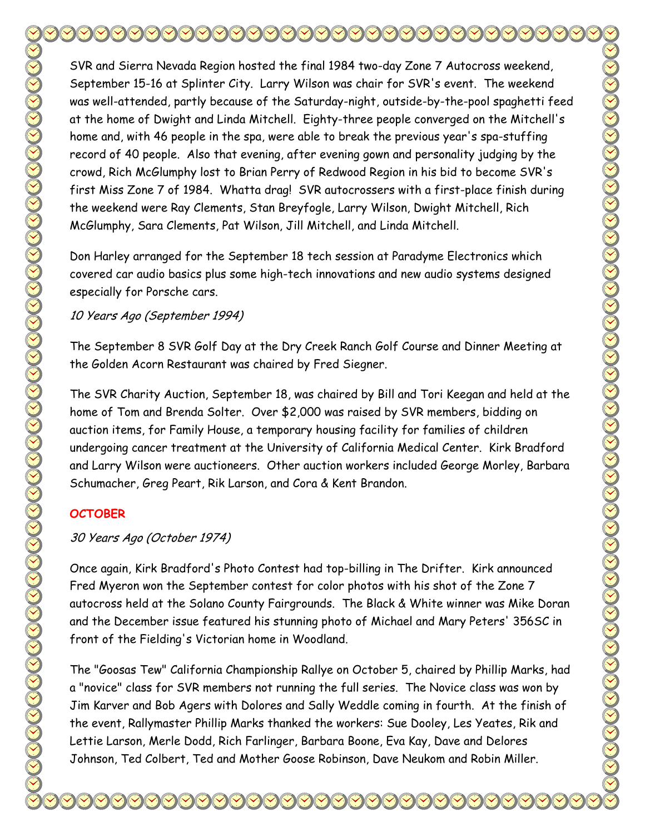SVR and Sierra Nevada Region hosted the final 1984 two-day Zone 7 Autocross weekend, September 15-16 at Splinter City. Larry Wilson was chair for SVR's event. The weekend was well-attended, partly because of the Saturday-night, outside-by-the-pool spaghetti feed at the home of Dwight and Linda Mitchell. Eighty-three people converged on the Mitchell's home and, with 46 people in the spa, were able to break the previous year's spa-stuffing record of 40 people. Also that evening, after evening gown and personality judging by the crowd, Rich McGlumphy lost to Brian Perry of Redwood Region in his bid to become SVR's first Miss Zone 7 of 1984. Whatta drag! SVR autocrossers with a first-place finish during the weekend were Ray Clements, Stan Breyfogle, Larry Wilson, Dwight Mitchell, Rich McGlumphy, Sara Clements, Pat Wilson, Jill Mitchell, and Linda Mitchell.

Don Harley arranged for the September 18 tech session at Paradyme Electronics which covered car audio basics plus some high-tech innovations and new audio systems designed especially for Porsche cars.

10 Years Ago (September 1994)

The September 8 SVR Golf Day at the Dry Creek Ranch Golf Course and Dinner Meeting at the Golden Acorn Restaurant was chaired by Fred Siegner.

The SVR Charity Auction, September 18, was chaired by Bill and Tori Keegan and held at the home of Tom and Brenda Solter. Over \$2,000 was raised by SVR members, bidding on auction items, for Family House, a temporary housing facility for families of children undergoing cancer treatment at the University of California Medical Center. Kirk Bradford and Larry Wilson were auctioneers. Other auction workers included George Morley, Barbara Schumacher, Greg Peart, Rik Larson, and Cora & Kent Brandon.

## **OCTOBER**

## 30 Years Ago (October 1974)

Once again, Kirk Bradford's Photo Contest had top-billing in The Drifter. Kirk announced Fred Myeron won the September contest for color photos with his shot of the Zone 7 autocross held at the Solano County Fairgrounds. The Black & White winner was Mike Doran and the December issue featured his stunning photo of Michael and Mary Peters' 356SC in front of the Fielding's Victorian home in Woodland.

The "Goosas Tew" California Championship Rallye on October 5, chaired by Phillip Marks, had a "novice" class for SVR members not running the full series. The Novice class was won by Jim Karver and Bob Agers with Dolores and Sally Weddle coming in fourth. At the finish of the event, Rallymaster Phillip Marks thanked the workers: Sue Dooley, Les Yeates, Rik and Lettie Larson, Merle Dodd, Rich Farlinger, Barbara Boone, Eva Kay, Dave and Delores Johnson, Ted Colbert, Ted and Mother Goose Robinson, Dave Neukom and Robin Miller.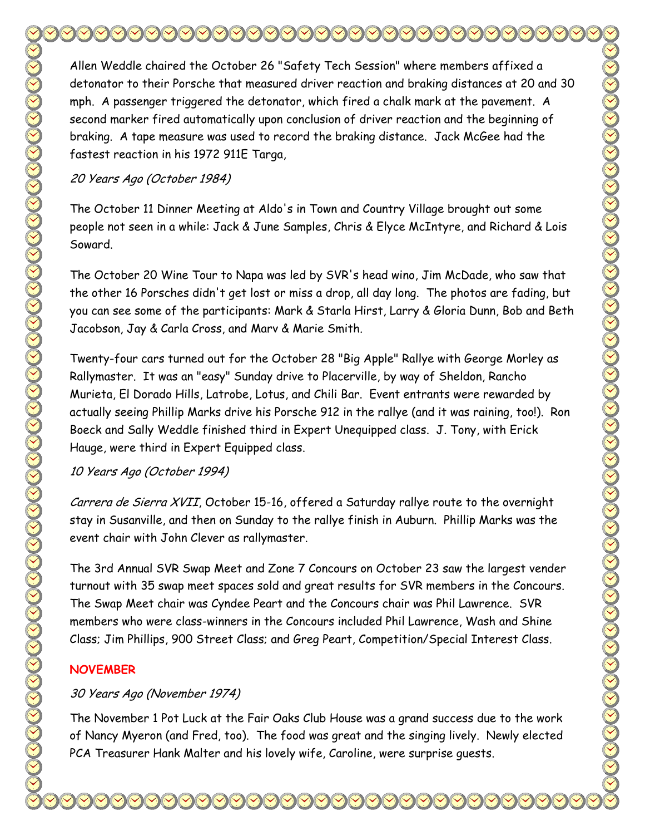Allen Weddle chaired the October 26 "Safety Tech Session" where members affixed a detonator to their Porsche that measured driver reaction and braking distances at 20 and 30 mph. A passenger triggered the detonator, which fired a chalk mark at the pavement. A second marker fired automatically upon conclusion of driver reaction and the beginning of braking. A tape measure was used to record the braking distance. Jack McGee had the fastest reaction in his 1972 911E Targa,

20 Years Ago (October 1984)

The October 11 Dinner Meeting at Aldo's in Town and Country Village brought out some people not seen in a while: Jack & June Samples, Chris & Elyce McIntyre, and Richard & Lois Soward.

The October 20 Wine Tour to Napa was led by SVR's head wino, Jim McDade, who saw that the other 16 Porsches didn't get lost or miss a drop, all day long. The photos are fading, but you can see some of the participants: Mark & Starla Hirst, Larry & Gloria Dunn, Bob and Beth Jacobson, Jay & Carla Cross, and Marv & Marie Smith.

Twenty-four cars turned out for the October 28 "Big Apple" Rallye with George Morley as Rallymaster. It was an "easy" Sunday drive to Placerville, by way of Sheldon, Rancho Murieta, El Dorado Hills, Latrobe, Lotus, and Chili Bar. Event entrants were rewarded by actually seeing Phillip Marks drive his Porsche 912 in the rallye (and it was raining, too!). Ron Boeck and Sally Weddle finished third in Expert Unequipped class. J. Tony, with Erick Hauge, were third in Expert Equipped class.

#### 10 Years Ago (October 1994)

Carrera de Sierra XVII, October 15-16, offered a Saturday rallye route to the overnight stay in Susanville, and then on Sunday to the rallye finish in Auburn. Phillip Marks was the event chair with John Clever as rallymaster.

The 3rd Annual SVR Swap Meet and Zone 7 Concours on October 23 saw the largest vender turnout with 35 swap meet spaces sold and great results for SVR members in the Concours. The Swap Meet chair was Cyndee Peart and the Concours chair was Phil Lawrence. SVR members who were class-winners in the Concours included Phil Lawrence, Wash and Shine Class; Jim Phillips, 900 Street Class; and Greg Peart, Competition/Special Interest Class.

### **NOVEMBER**

#### 30 Years Ago (November 1974)

The November 1 Pot Luck at the Fair Oaks Club House was a grand success due to the work of Nancy Myeron (and Fred, too). The food was great and the singing lively. Newly elected PCA Treasurer Hank Malter and his lovely wife, Caroline, were surprise guests.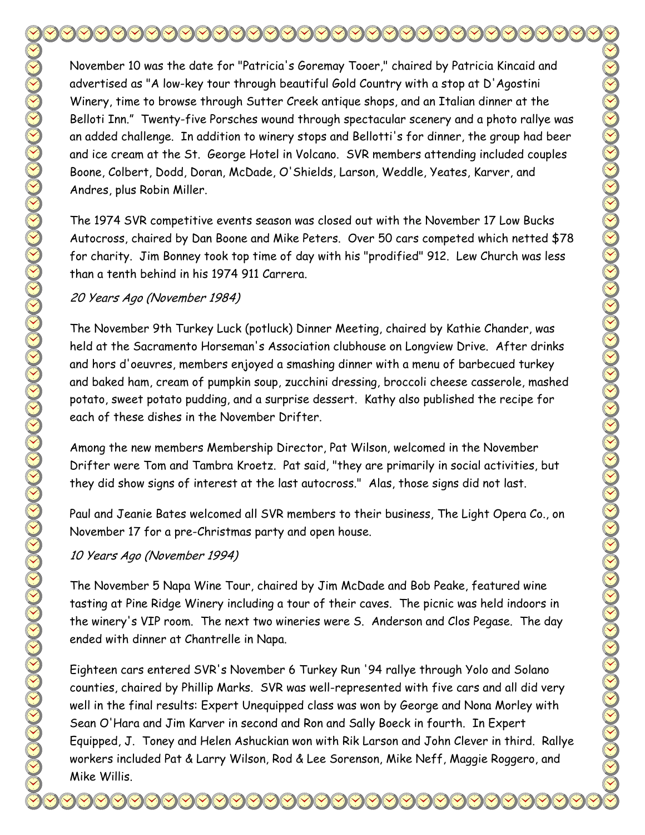November 10 was the date for "Patricia's Goremay Tooer," chaired by Patricia Kincaid and advertised as "A low-key tour through beautiful Gold Country with a stop at D'Agostini Winery, time to browse through Sutter Creek antique shops, and an Italian dinner at the Belloti Inn." Twenty-five Porsches wound through spectacular scenery and a photo rallye was an added challenge. In addition to winery stops and Bellotti's for dinner, the group had beer and ice cream at the St. George Hotel in Volcano. SVR members attending included couples Boone, Colbert, Dodd, Doran, McDade, O'Shields, Larson, Weddle, Yeates, Karver, and Andres, plus Robin Miller.

The 1974 SVR competitive events season was closed out with the November 17 Low Bucks Autocross, chaired by Dan Boone and Mike Peters. Over 50 cars competed which netted \$78 for charity. Jim Bonney took top time of day with his "prodified" 912. Lew Church was less than a tenth behind in his 1974 911 Carrera.

#### 20 Years Ago (November 1984)

The November 9th Turkey Luck (potluck) Dinner Meeting, chaired by Kathie Chander, was held at the Sacramento Horseman's Association clubhouse on Longview Drive. After drinks and hors d'oeuvres, members enjoyed a smashing dinner with a menu of barbecued turkey and baked ham, cream of pumpkin soup, zucchini dressing, broccoli cheese casserole, mashed potato, sweet potato pudding, and a surprise dessert. Kathy also published the recipe for each of these dishes in the November Drifter.

Among the new members Membership Director, Pat Wilson, welcomed in the November Drifter were Tom and Tambra Kroetz. Pat said, "they are primarily in social activities, but they did show signs of interest at the last autocross." Alas, those signs did not last.

Paul and Jeanie Bates welcomed all SVR members to their business, The Light Opera Co., on November 17 for a pre-Christmas party and open house.

#### 10 Years Ago (November 1994)

The November 5 Napa Wine Tour, chaired by Jim McDade and Bob Peake, featured wine tasting at Pine Ridge Winery including a tour of their caves. The picnic was held indoors in the winery's VIP room. The next two wineries were S. Anderson and Clos Pegase. The day ended with dinner at Chantrelle in Napa.

Eighteen cars entered SVR's November 6 Turkey Run '94 rallye through Yolo and Solano counties, chaired by Phillip Marks. SVR was well-represented with five cars and all did very well in the final results: Expert Unequipped class was won by George and Nona Morley with Sean O'Hara and Jim Karver in second and Ron and Sally Boeck in fourth. In Expert Equipped, J. Toney and Helen Ashuckian won with Rik Larson and John Clever in third. Rallye workers included Pat & Larry Wilson, Rod & Lee Sorenson, Mike Neff, Maggie Roggero, and Mike Willis.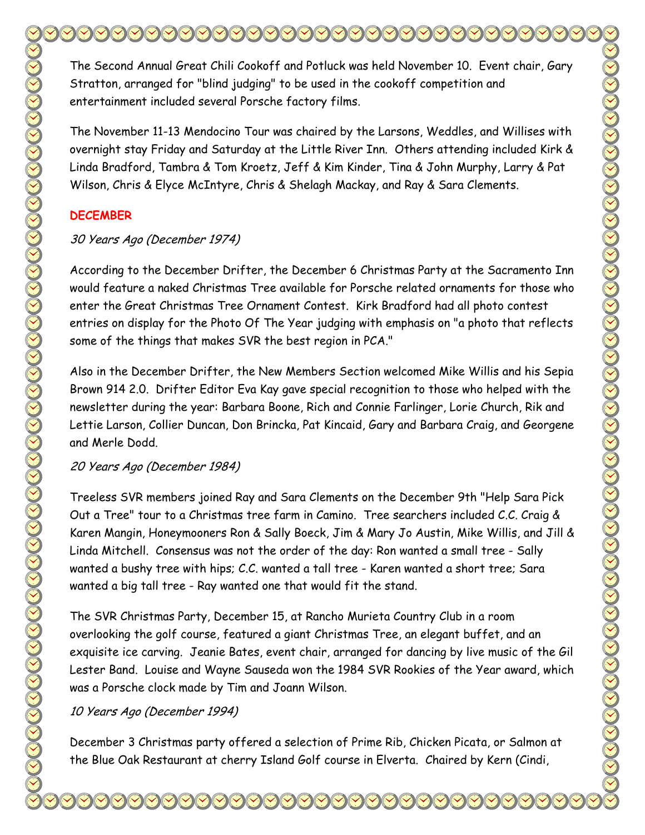The Second Annual Great Chili Cookoff and Potluck was held November 10. Event chair, Gary Stratton, arranged for "blind judging" to be used in the cookoff competition and entertainment included several Porsche factory films. The November 11-13 Mendocino Tour was chaired by the Larsons, Weddles, and Willises with overnight stay Friday and Saturday at the Little River Inn. Others attending included Kirk & Linda Bradford, Tambra & Tom Kroetz, Jeff & Kim Kinder, Tina & John Murphy, Larry & Pat

### **DECEMBER**

#### 30 Years Ago (December 1974)

According to the December Drifter, the December 6 Christmas Party at the Sacramento Inn would feature a naked Christmas Tree available for Porsche related ornaments for those who enter the Great Christmas Tree Ornament Contest. Kirk Bradford had all photo contest entries on display for the Photo Of The Year judging with emphasis on "a photo that reflects some of the things that makes SVR the best region in PCA."

Wilson, Chris & Elyce McIntyre, Chris & Shelagh Mackay, and Ray & Sara Clements.

Also in the December Drifter, the New Members Section welcomed Mike Willis and his Sepia Brown 914 2.0. Drifter Editor Eva Kay gave special recognition to those who helped with the newsletter during the year: Barbara Boone, Rich and Connie Farlinger, Lorie Church, Rik and Lettie Larson, Collier Duncan, Don Brincka, Pat Kincaid, Gary and Barbara Craig, and Georgene and Merle Dodd.

20 Years Ago (December 1984)

Treeless SVR members joined Ray and Sara Clements on the December 9th "Help Sara Pick Out a Tree" tour to a Christmas tree farm in Camino. Tree searchers included C.C. Craig & Karen Mangin, Honeymooners Ron & Sally Boeck, Jim & Mary Jo Austin, Mike Willis, and Jill & Linda Mitchell. Consensus was not the order of the day: Ron wanted a small tree - Sally wanted a bushy tree with hips; C.C. wanted a tall tree - Karen wanted a short tree; Sara wanted a big tall tree - Ray wanted one that would fit the stand.

The SVR Christmas Party, December 15, at Rancho Murieta Country Club in a room overlooking the golf course, featured a giant Christmas Tree, an elegant buffet, and an exquisite ice carving. Jeanie Bates, event chair, arranged for dancing by live music of the Gil Lester Band. Louise and Wayne Sauseda won the 1984 SVR Rookies of the Year award, which was a Porsche clock made by Tim and Joann Wilson.

#### 10 Years Ago (December 1994)

December 3 Christmas party offered a selection of Prime Rib, Chicken Picata, or Salmon at the Blue Oak Restaurant at cherry Island Golf course in Elverta. Chaired by Kern (Cindi,